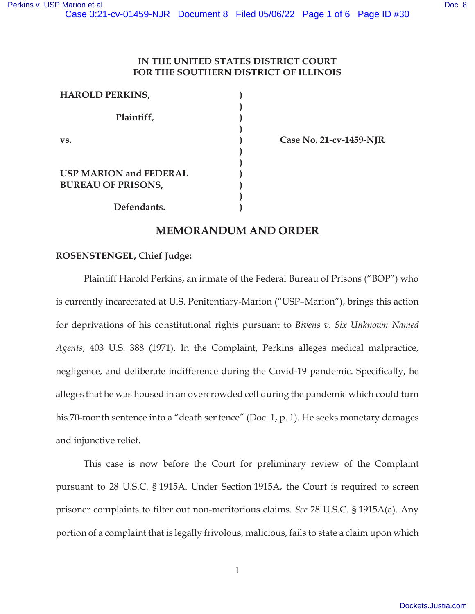# **IN THE UNITED STATES DISTRICT COURT FOR THE SOUTHERN DISTRICT OF ILLINOIS**

**) ) ) ) ) ) ) ) ) ) )** 

| <b>HAROLD PERKINS,</b>                                     |
|------------------------------------------------------------|
| Plaintiff,                                                 |
| VS.                                                        |
| <b>USP MARION and FEDERAL</b><br><b>BUREAU OF PRISONS,</b> |
| Defendants.                                                |

**Case No. 21-cv-1459-NJR** 

# **MEMORANDUM AND ORDER**

# **ROSENSTENGEL, Chief Judge:**

Plaintiff Harold Perkins, an inmate of the Federal Bureau of Prisons ("BOP") who is currently incarcerated at U.S. Penitentiary-Marion ("USP–Marion"), brings this action for deprivations of his constitutional rights pursuant to *Bivens v. Six Unknown Named Agents*, 403 U.S. 388 (1971). In the Complaint, Perkins alleges medical malpractice, negligence, and deliberate indifference during the Covid-19 pandemic. Specifically, he alleges that he was housed in an overcrowded cell during the pandemic which could turn his 70-month sentence into a "death sentence" (Doc. 1, p. 1). He seeks monetary damages and injunctive relief.

This case is now before the Court for preliminary review of the Complaint pursuant to 28 U.S.C. § 1915A. Under Section 1915A, the Court is required to screen prisoner complaints to filter out non-meritorious claims. *See* 28 U.S.C. § 1915A(a). Any portion of a complaint that is legally frivolous, malicious, fails to state a claim upon which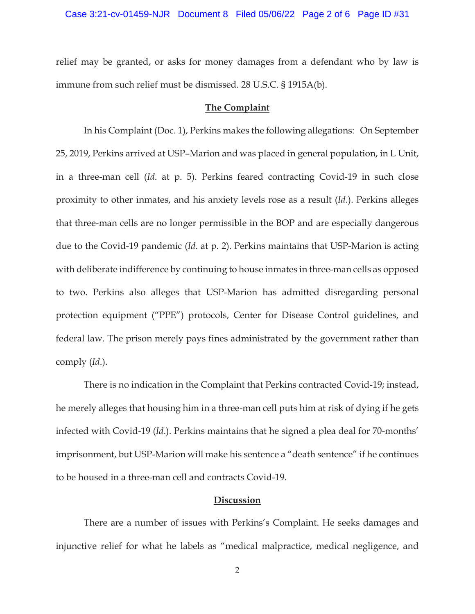## Case 3:21-cv-01459-NJR Document 8 Filed 05/06/22 Page 2 of 6 Page ID #31

relief may be granted, or asks for money damages from a defendant who by law is immune from such relief must be dismissed. 28 U.S.C. § 1915A(b).

#### **The Complaint**

In his Complaint (Doc. 1), Perkins makes the following allegations: On September 25, 2019, Perkins arrived at USP–Marion and was placed in general population, in L Unit, in a three-man cell (*Id*. at p. 5). Perkins feared contracting Covid-19 in such close proximity to other inmates, and his anxiety levels rose as a result (*Id*.). Perkins alleges that three-man cells are no longer permissible in the BOP and are especially dangerous due to the Covid-19 pandemic (*Id*. at p. 2). Perkins maintains that USP-Marion is acting with deliberate indifference by continuing to house inmates in three-man cells as opposed to two. Perkins also alleges that USP-Marion has admitted disregarding personal protection equipment ("PPE") protocols, Center for Disease Control guidelines, and federal law. The prison merely pays fines administrated by the government rather than comply (*Id*.).

There is no indication in the Complaint that Perkins contracted Covid-19; instead, he merely alleges that housing him in a three-man cell puts him at risk of dying if he gets infected with Covid-19 (*Id*.). Perkins maintains that he signed a plea deal for 70-months' imprisonment, but USP-Marion will make his sentence a "death sentence" if he continues to be housed in a three-man cell and contracts Covid-19.

## **Discussion**

 There are a number of issues with Perkins's Complaint. He seeks damages and injunctive relief for what he labels as "medical malpractice, medical negligence, and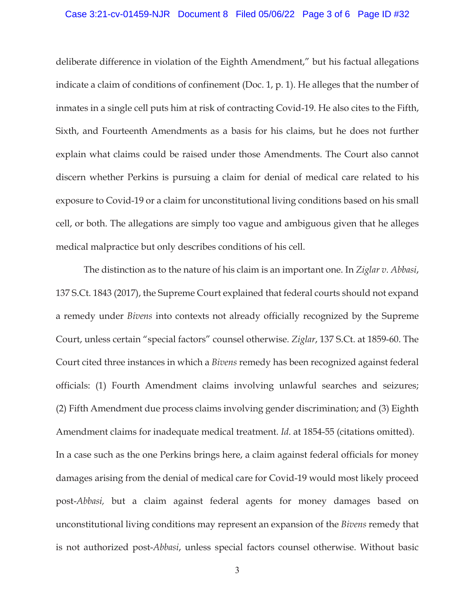## Case 3:21-cv-01459-NJR Document 8 Filed 05/06/22 Page 3 of 6 Page ID #32

deliberate difference in violation of the Eighth Amendment," but his factual allegations indicate a claim of conditions of confinement (Doc. 1, p. 1). He alleges that the number of inmates in a single cell puts him at risk of contracting Covid-19. He also cites to the Fifth, Sixth, and Fourteenth Amendments as a basis for his claims, but he does not further explain what claims could be raised under those Amendments. The Court also cannot discern whether Perkins is pursuing a claim for denial of medical care related to his exposure to Covid-19 or a claim for unconstitutional living conditions based on his small cell, or both. The allegations are simply too vague and ambiguous given that he alleges medical malpractice but only describes conditions of his cell.

 The distinction as to the nature of his claim is an important one. In *Ziglar v. Abbasi*, 137 S.Ct. 1843 (2017), the Supreme Court explained that federal courts should not expand a remedy under *Bivens* into contexts not already officially recognized by the Supreme Court, unless certain "special factors" counsel otherwise. *Ziglar*, 137 S.Ct. at 1859-60. The Court cited three instances in which a *Bivens* remedy has been recognized against federal officials: (1) Fourth Amendment claims involving unlawful searches and seizures; (2) Fifth Amendment due process claims involving gender discrimination; and (3) Eighth Amendment claims for inadequate medical treatment. *Id*. at 1854-55 (citations omitted). In a case such as the one Perkins brings here, a claim against federal officials for money damages arising from the denial of medical care for Covid-19 would most likely proceed post-*Abbasi,* but a claim against federal agents for money damages based on unconstitutional living conditions may represent an expansion of the *Bivens* remedy that is not authorized post-*Abbasi*, unless special factors counsel otherwise. Without basic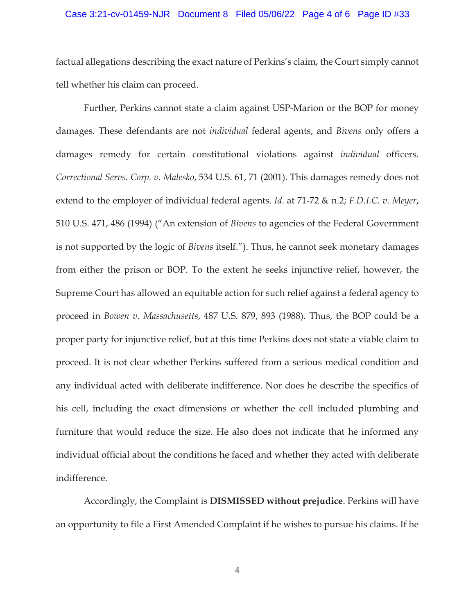## Case 3:21-cv-01459-NJR Document 8 Filed 05/06/22 Page 4 of 6 Page ID #33

factual allegations describing the exact nature of Perkins's claim, the Court simply cannot tell whether his claim can proceed.

 Further, Perkins cannot state a claim against USP-Marion or the BOP for money damages. These defendants are not *individual* federal agents, and *Bivens* only offers a damages remedy for certain constitutional violations against *individual* officers. *Correctional Servs. Corp. v. Malesko*, 534 U.S. 61, 71 (2001). This damages remedy does not extend to the employer of individual federal agents. *Id*. at 71-72 & n.2; *F.D.I.C. v. Meyer*, 510 U.S. 471, 486 (1994) ("An extension of *Bivens* to agencies of the Federal Government is not supported by the logic of *Bivens* itself."). Thus, he cannot seek monetary damages from either the prison or BOP. To the extent he seeks injunctive relief, however, the Supreme Court has allowed an equitable action for such relief against a federal agency to proceed in *Bowen v. Massachusetts*, 487 U.S. 879, 893 (1988). Thus, the BOP could be a proper party for injunctive relief, but at this time Perkins does not state a viable claim to proceed. It is not clear whether Perkins suffered from a serious medical condition and any individual acted with deliberate indifference. Nor does he describe the specifics of his cell, including the exact dimensions or whether the cell included plumbing and furniture that would reduce the size. He also does not indicate that he informed any individual official about the conditions he faced and whether they acted with deliberate indifference.

Accordingly, the Complaint is **DISMISSED without prejudice**. Perkins will have an opportunity to file a First Amended Complaint if he wishes to pursue his claims. If he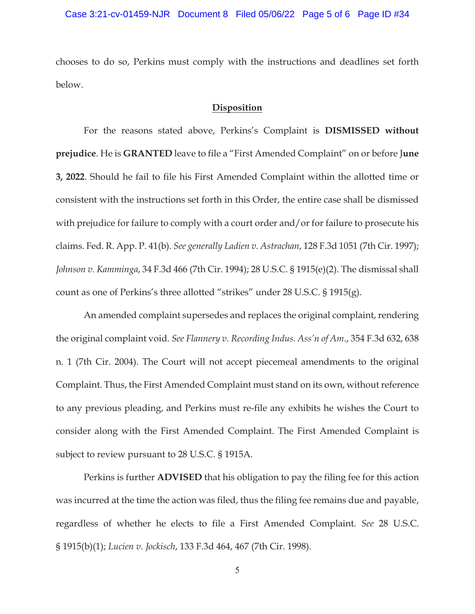chooses to do so, Perkins must comply with the instructions and deadlines set forth below.

## **Disposition**

For the reasons stated above, Perkins's Complaint is **DISMISSED without prejudice**. He is **GRANTED** leave to file a "First Amended Complaint" on or before J**une 3, 2022**. Should he fail to file his First Amended Complaint within the allotted time or consistent with the instructions set forth in this Order, the entire case shall be dismissed with prejudice for failure to comply with a court order and/or for failure to prosecute his claims. Fed. R. App. P. 41(b). *See generally Ladien v. Astrachan*, 128 F.3d 1051 (7th Cir. 1997); *Johnson v. Kamminga*, 34 F.3d 466 (7th Cir. 1994); 28 U.S.C. § 1915(e)(2). The dismissal shall count as one of Perkins's three allotted "strikes" under 28 U.S.C. § 1915(g).

An amended complaint supersedes and replaces the original complaint, rendering the original complaint void. *See Flannery v. Recording Indus. Ass'n of Am*., 354 F.3d 632, 638 n. 1 (7th Cir. 2004). The Court will not accept piecemeal amendments to the original Complaint. Thus, the First Amended Complaint must stand on its own, without reference to any previous pleading, and Perkins must re-file any exhibits he wishes the Court to consider along with the First Amended Complaint. The First Amended Complaint is subject to review pursuant to 28 U.S.C. § 1915A.

Perkins is further **ADVISED** that his obligation to pay the filing fee for this action was incurred at the time the action was filed, thus the filing fee remains due and payable, regardless of whether he elects to file a First Amended Complaint. *See* 28 U.S.C. § 1915(b)(1); *Lucien v. Jockisch*, 133 F.3d 464, 467 (7th Cir. 1998).